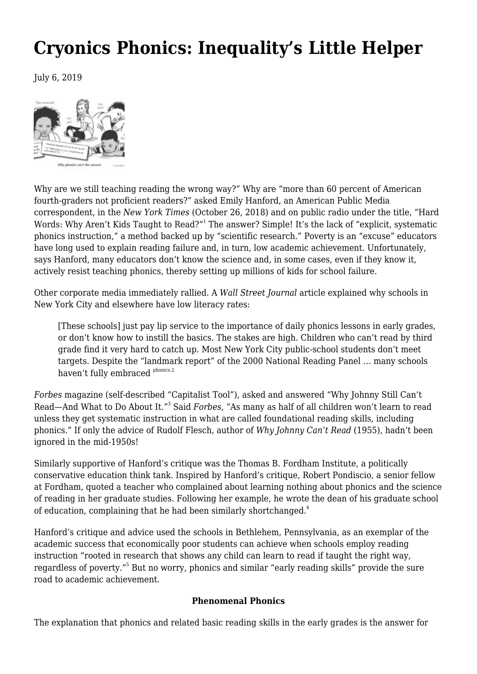# **[Cryonics Phonics: Inequality's Little Helper](https://newpol.org/issue_post/cryonics-phonics-inequalitys-little-helper/)**

July 6, 2019



Why are we still teaching reading the wrong way?" Why are "more than 60 percent of American fourth-graders not proficient readers?" asked Emily Hanford, an American Public Media correspondent, in the *New York Times* (October 26, 2018) and on public radio under the title, ["Hard](https://www.apmreports.org/story/2018/09/10/hard-words-why-american-kids-arent-being-taught-to-read) [Words:](https://www.apmreports.org/story/2018/09/10/hard-words-why-american-kids-arent-being-taught-to-read) Why Aren't Kids Taught to Read?"<sup>1</sup> The answer? Simple! It's the lack of "explicit, systematic phonics instruction," a method backed up by "scientific research." Poverty is an "excuse" educators have long used to explain reading failure and, in turn, low academic achievement. Unfortunately, says Hanford, many educators don't know the science and, in some cases, even if they know it, actively resist teaching phonics, thereby setting up millions of kids for school failure.

Other corporate media immediately rallied. A *Wall Street Journal* article explained why schools in New York City and elsewhere have low literacy rates:

[These schools] just pay lip service to the importance of daily phonics lessons in early grades, or don't know how to instill the basics. The stakes are high. Children who can't read by third grade find it very hard to catch up. Most New York City public-school students don't meet targets. Despite the "landmark report" of the 2000 National Reading Panel … many schools haven't fully embraced phonics.2

*Forbes* magazine (self-described "Capitalist Tool"), asked and answered "Why Johnny Still Can't Read—And What to Do About It."<sup>3</sup> Said *Forbes*, "As many as half of all children won't learn to read unless they get systematic instruction in what are called foundational reading skills, including phonics." If only the advice of Rudolf Flesch, author of *Why Johnny Can't Read* (1955), hadn't been ignored in the mid-1950s!

Similarly supportive of Hanford's critique was the Thomas B. Fordham Institute, a politically conservative education think tank. Inspired by Hanford's critique, Robert Pondiscio, a senior fellow at Fordham, quoted a teacher who complained about learning nothing about phonics and the science of reading in her graduate studies. Following her example, he wrote the dean of his graduate school of education, complaining that he had been similarly shortchanged.<sup>4</sup>

Hanford's critique and advice used the schools in Bethlehem, Pennsylvania, as an exemplar of the academic success that economically poor students can achieve when schools employ reading instruction "rooted in research that shows any child can learn to read if taught the right way, regardless of poverty."<sup>5</sup> But no worry, phonics and similar "early reading skills" provide the sure road to academic achievement.

### **Phenomenal Phonics**

The explanation that phonics and related basic reading skills in the early grades is the answer for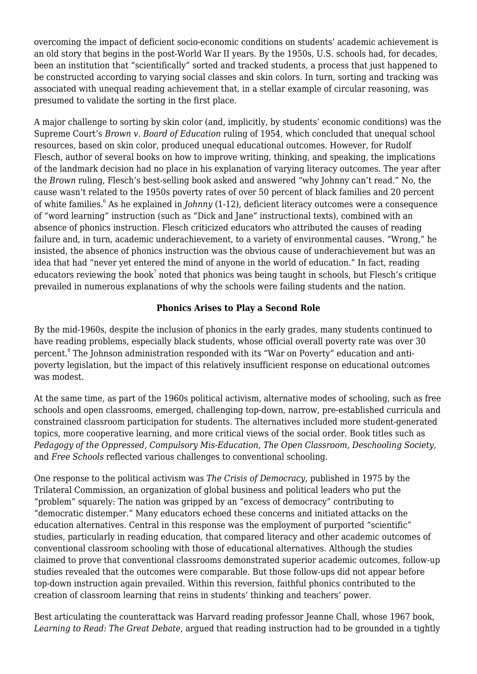overcoming the impact of deficient socio-economic conditions on students' academic achievement is an old story that begins in the post-World War II years. By the 1950s, U.S. schools had, for decades, been an institution that "scientifically" sorted and tracked students, a process that just happened to be constructed according to varying social classes and skin colors. In turn, sorting and tracking was associated with unequal reading achievement that, in a stellar example of circular reasoning, was presumed to validate the sorting in the first place.

A major challenge to sorting by skin color (and, implicitly, by students' economic conditions) was the Supreme Court's *Brown v. Board of Education* ruling of 1954, which concluded that unequal school resources, based on skin color, produced unequal educational outcomes. However, for Rudolf Flesch, author of several books on how to improve writing, thinking, and speaking, the implications of the landmark decision had no place in his explanation of varying literacy outcomes. The year after the *Brown* ruling, Flesch's best-selling book asked and answered "why Johnny can't read." No, the cause wasn't related to the 1950s poverty rates of over 50 percent of black families and 20 percent of white families.<sup>6</sup> As he explained in *Johnny* (1-12), deficient literacy outcomes were a consequence of "word learning" instruction (such as "Dick and Jane" instructional texts), combined with an absence of phonics instruction. Flesch criticized educators who attributed the causes of reading failure and, in turn, academic underachievement, to a variety of environmental causes. "Wrong," he insisted, the absence of phonics instruction was the obvious cause of underachievement but was an idea that had "never yet entered the mind of anyone in the world of education." In fact, reading educators reviewing the book $^7$  noted that phonics was being taught in schools, but Flesch's critique prevailed in numerous explanations of why the schools were failing students and the nation.

# **Phonics Arises to Play a Second Role**

By the mid-1960s, despite the inclusion of phonics in the early grades, many students continued to have reading problems, especially black students, whose official overall poverty rate was over 30 percent.<sup>8</sup> The Johnson administration responded with its "War on Poverty" education and antipoverty legislation, but the impact of this relatively insufficient response on educational outcomes was modest.

At the same time, as part of the 1960s political activism, alternative modes of schooling, such as free schools and open classrooms, emerged, challenging top-down, narrow, pre-established curricula and constrained classroom participation for students. The alternatives included more student-generated topics, more cooperative learning, and more critical views of the social order. Book titles such as *Pedagogy of the Oppressed, Compulsory Mis-Education, The Open Classroom, Deschooling Society*, and *Free Schools* reflected various challenges to conventional schooling.

One response to the political activism was *The Crisis of Democracy,* published in 1975 by the Trilateral Commission, an organization of global business and political leaders who put the "problem" squarely: The nation was gripped by an "excess of democracy" contributing to "democratic distemper." Many educators echoed these concerns and initiated attacks on the education alternatives. Central in this response was the employment of purported "scientific" studies, particularly in reading education, that compared literacy and other academic outcomes of conventional classroom schooling with those of educational alternatives. Although the studies claimed to prove that conventional classrooms demonstrated superior academic outcomes, follow-up studies revealed that the outcomes were comparable. But those follow-ups did not appear before top-down instruction again prevailed. Within this reversion, faithful phonics contributed to the creation of classroom learning that reins in students' thinking and teachers' power.

Best articulating the counterattack was Harvard reading professor Jeanne Chall, whose 1967 book, *Learning to Read: The Great Debate*, argued that reading instruction had to be grounded in a tightly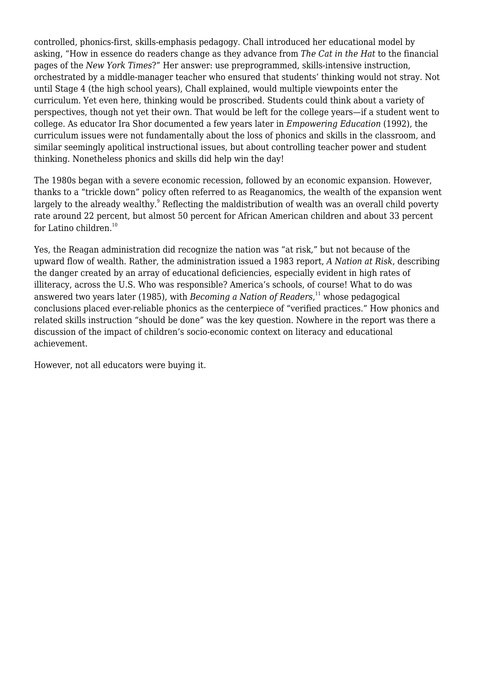controlled, phonics-first, skills-emphasis pedagogy. Chall introduced her educational model by asking, "How in essence do readers change as they advance from *The Cat in the Hat* to the financial pages of the *New York Times*?" Her answer: use preprogrammed, skills-intensive instruction, orchestrated by a middle-manager teacher who ensured that students' thinking would not stray. Not until Stage 4 (the high school years), Chall explained, would multiple viewpoints enter the curriculum. Yet even here, thinking would be proscribed. Students could think about a variety of perspectives, though not yet their own. That would be left for the college years—if a student went to college. As educator Ira Shor documented a few years later in *Empowering Education* (1992), the curriculum issues were not fundamentally about the loss of phonics and skills in the classroom, and similar seemingly apolitical instructional issues, but about controlling teacher power and student thinking. Nonetheless phonics and skills did help win the day!

The 1980s began with a severe economic recession, followed by an economic expansion. However, thanks to a "trickle down" policy often referred to as Reaganomics, the wealth of the expansion went largely to the already wealthy. $^{\circ}$  Reflecting the maldistribution of wealth was an overall child poverty rate around 22 percent, but almost 50 percent for African American children and about 33 percent for Latino children. $10$ 

Yes, the Reagan administration did recognize the nation was "at risk," but not because of the upward flow of wealth. Rather, the administration issued a 1983 report, *A Nation at Risk*, describing the danger created by an array of educational deficiencies, especially evident in high rates of illiteracy, across the U.S. Who was responsible? America's schools, of course! What to do was answered two years later (1985), with *Becoming a Nation of Readers*, <sup>11</sup> whose pedagogical conclusions placed ever-reliable phonics as the centerpiece of "verified practices." How phonics and related skills instruction "should be done" was the key question. Nowhere in the report was there a discussion of the impact of children's socio-economic context on literacy and educational achievement.

However, not all educators were buying it.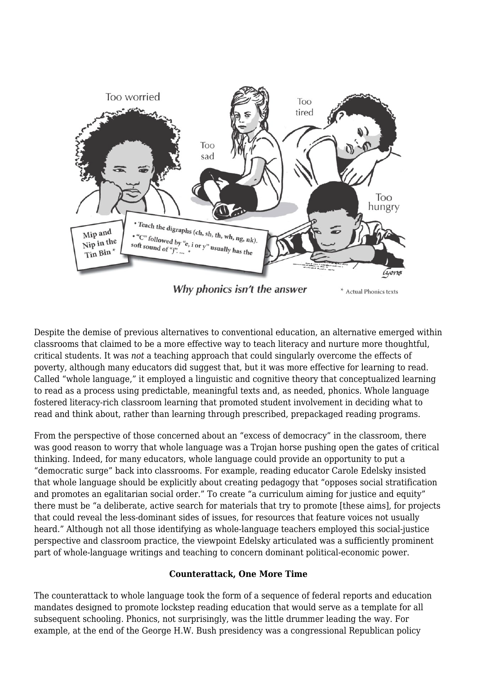

Despite the demise of previous alternatives to conventional education, an alternative emerged within classrooms that claimed to be a more effective way to teach literacy and nurture more thoughtful, critical students. It was *not* a teaching approach that could singularly overcome the effects of poverty, although many educators did suggest that, but it was more effective for learning to read. Called "whole language," it employed a linguistic and cognitive theory that conceptualized learning to read as a process using predictable, meaningful texts and, as needed, phonics. Whole language fostered literacy-rich classroom learning that promoted student involvement in deciding what to read and think about, rather than learning through prescribed, prepackaged reading programs.

From the perspective of those concerned about an "excess of democracy" in the classroom, there was good reason to worry that whole language was a Trojan horse pushing open the gates of critical thinking. Indeed, for many educators, whole language could provide an opportunity to put a "democratic surge" back into classrooms. For example, reading educator Carole Edelsky insisted that whole language should be explicitly about creating pedagogy that "opposes social stratification and promotes an egalitarian social order." To create "a curriculum aiming for justice and equity" there must be "a deliberate, active search for materials that try to promote [these aims], for projects that could reveal the less-dominant sides of issues, for resources that feature voices not usually heard." Although not all those identifying as whole-language teachers employed this social-justice perspective and classroom practice, the viewpoint Edelsky articulated was a sufficiently prominent part of whole-language writings and teaching to concern dominant political-economic power.

### **Counterattack, One More Time**

The counterattack to whole language took the form of a sequence of federal reports and education mandates designed to promote lockstep reading education that would serve as a template for all subsequent schooling. Phonics, not surprisingly, was the little drummer leading the way. For example, at the end of the George H.W. Bush presidency was a congressional Republican policy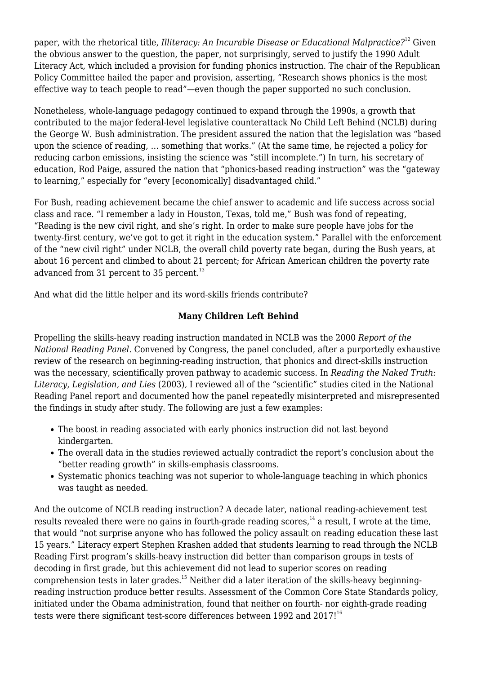paper, with the rhetorical title, *Illiteracy: An Incurable Disease or Educational Malpractice?*<sup>12</sup> Given the obvious answer to the question, the paper, not surprisingly, served to justify the 1990 Adult Literacy Act, which included a provision for funding phonics instruction. The chair of the Republican Policy Committee hailed the paper and provision, asserting, "Research shows phonics is the most effective way to teach people to read"—even though the paper supported no such conclusion.

Nonetheless, whole-language pedagogy continued to expand through the 1990s, a growth that contributed to the major federal-level legislative counterattack No Child Left Behind (NCLB) during the George W. Bush administration. The president assured the nation that the legislation was "based upon the science of reading, … something that works." (At the same time, he rejected a policy for reducing carbon emissions, insisting the science was "still incomplete.") In turn, his secretary of education, Rod Paige, assured the nation that "phonics-based reading instruction" was the "gateway to learning," especially for "every [economically] disadvantaged child."

For Bush, reading achievement became the chief answer to academic and life success across social class and race. "I remember a lady in Houston, Texas, told me," Bush was fond of repeating, "Reading is the new civil right, and she's right. In order to make sure people have jobs for the twenty-first century, we've got to get it right in the education system." Parallel with the enforcement of the "new civil right" under NCLB, the overall child poverty rate began, during the Bush years, at about 16 percent and climbed to about 21 percent; for African American children the poverty rate advanced from 31 percent to 35 percent. $13$ 

And what did the little helper and its word-skills friends contribute?

# **Many Children Left Behind**

Propelling the skills-heavy reading instruction mandated in NCLB was the 2000 *Report of the National Reading Panel*. Convened by Congress, the panel concluded, after a purportedly exhaustive review of the research on beginning-reading instruction, that phonics and direct-skills instruction was the necessary, scientifically proven pathway to academic success. In *Reading the Naked Truth: Literacy, Legislation, and Lies* (2003)*,* I reviewed all of the "scientific" studies cited in the National Reading Panel report and documented how the panel repeatedly misinterpreted and misrepresented the findings in study after study. The following are just a few examples:

- The boost in reading associated with early phonics instruction did not last beyond kindergarten.
- The overall data in the studies reviewed actually contradict the report's conclusion about the "better reading growth" in skills-emphasis classrooms.
- Systematic phonics teaching was not superior to whole-language teaching in which phonics was taught as needed.

And the outcome of NCLB reading instruction? A decade later, national reading-achievement test results revealed there were no gains in fourth-grade reading scores, $14$  a result, I wrote at the time, that would "not surprise anyone who has followed the policy assault on reading education these last 15 years." Literacy expert Stephen Krashen added that students learning to read through the NCLB Reading First program's skills-heavy instruction did better than comparison groups in tests of decoding in first grade, but this achievement did not lead to superior scores on reading comprehension tests in later grades.<sup>15</sup> Neither did a later iteration of the skills-heavy beginningreading instruction produce better results. Assessment of the Common Core State Standards policy, initiated under the Obama administration, found that neither on fourth- nor eighth-grade reading tests were there significant test-score differences between 1992 and  $2017!^{16}$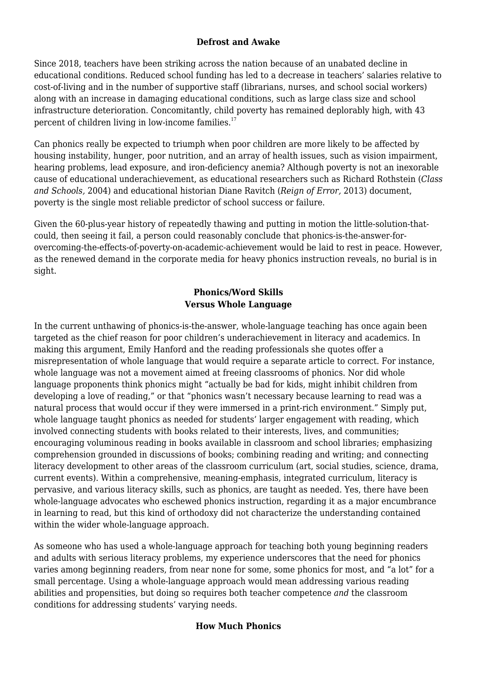## **Defrost and Awake**

Since 2018, teachers have been striking across the nation because of an unabated decline in educational conditions. Reduced school funding has led to a decrease in teachers' salaries relative to cost-of-living and in the number of supportive staff (librarians, nurses, and school social workers) along with an increase in damaging educational conditions, such as large class size and school infrastructure deterioration. Concomitantly, child poverty has remained deplorably high, with 43 percent of children living in low-income families. $17$ 

Can phonics really be expected to triumph when poor children are more likely to be affected by housing instability, hunger, poor nutrition, and an array of health issues, such as vision impairment, hearing problems, lead exposure, and iron-deficiency anemia? Although poverty is not an inexorable cause of educational underachievement, as educational researchers such as Richard Rothstein (*Class and Schools,* 2004) and educational historian Diane Ravitch (*Reign of Error,* 2013) document, poverty is the single most reliable predictor of school success or failure.

Given the 60-plus-year history of repeatedly thawing and putting in motion the little-solution-thatcould, then seeing it fail, a person could reasonably conclude that phonics-is-the-answer-forovercoming-the-effects-of-poverty-on-academic-achievement would be laid to rest in peace. However, as the renewed demand in the corporate media for heavy phonics instruction reveals, no burial is in sight.

## **Phonics/Word Skills Versus Whole Language**

In the current unthawing of phonics-is-the-answer, whole-language teaching has once again been targeted as the chief reason for poor children's underachievement in literacy and academics. In making this argument, Emily Hanford and the reading professionals she quotes offer a misrepresentation of whole language that would require a separate article to correct. For instance, whole language was not a movement aimed at freeing classrooms of phonics. Nor did whole language proponents think phonics might "actually be bad for kids, might inhibit children from developing a love of reading," or that "phonics wasn't necessary because learning to read was a natural process that would occur if they were immersed in a print-rich environment." Simply put, whole language taught phonics as needed for students' larger engagement with reading, which involved connecting students with books related to their interests, lives, and communities; encouraging voluminous reading in books available in classroom and school libraries; emphasizing comprehension grounded in discussions of books; combining reading and writing; and connecting literacy development to other areas of the classroom curriculum (art, social studies, science, drama, current events). Within a comprehensive, meaning-emphasis, integrated curriculum, literacy is pervasive, and various literacy skills, such as phonics, are taught as needed. Yes, there have been whole-language advocates who eschewed phonics instruction, regarding it as a major encumbrance in learning to read, but this kind of orthodoxy did not characterize the understanding contained within the wider whole-language approach.

As someone who has used a whole-language approach for teaching both young beginning readers and adults with serious literacy problems, my experience underscores that the need for phonics varies among beginning readers, from near none for some, some phonics for most, and "a lot" for a small percentage. Using a whole-language approach would mean addressing various reading abilities and propensities, but doing so requires both teacher competence *and* the classroom conditions for addressing students' varying needs.

# **How Much Phonics**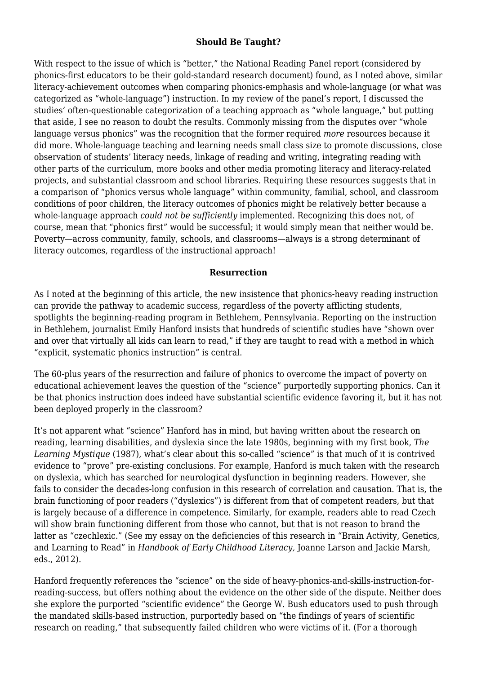## **Should Be Taught?**

With respect to the issue of which is "better," the National Reading Panel report (considered by phonics-first educators to be their gold-standard research document) found, as I noted above, similar literacy-achievement outcomes when comparing phonics-emphasis and whole-language (or what was categorized as "whole-language") instruction. In my review of the panel's report, I discussed the studies' often-questionable categorization of a teaching approach as "whole language," but putting that aside, I see no reason to doubt the results. Commonly missing from the disputes over "whole language versus phonics" was the recognition that the former required *more* resources because it did more. Whole-language teaching and learning needs small class size to promote discussions, close observation of students' literacy needs, linkage of reading and writing, integrating reading with other parts of the curriculum, more books and other media promoting literacy and literacy-related projects, and substantial classroom and school libraries. Requiring these resources suggests that in a comparison of "phonics versus whole language" within community, familial, school, and classroom conditions of poor children, the literacy outcomes of phonics might be relatively better because a whole-language approach *could not be sufficiently* implemented. Recognizing this does not, of course, mean that "phonics first" would be successful; it would simply mean that neither would be. Poverty—across community, family, schools, and classrooms—always is a strong determinant of literacy outcomes, regardless of the instructional approach!

### **Resurrection**

As I noted at the beginning of this article, the new insistence that phonics-heavy reading instruction can provide the pathway to academic success, regardless of the poverty afflicting students, spotlights the beginning-reading program in Bethlehem, Pennsylvania. Reporting on the instruction in Bethlehem, journalist Emily Hanford insists that hundreds of scientific studies have "shown over and over that virtually all kids can learn to read," if they are taught to read with a method in which "explicit, systematic phonics instruction" is central.

The 60-plus years of the resurrection and failure of phonics to overcome the impact of poverty on educational achievement leaves the question of the "science" purportedly supporting phonics. Can it be that phonics instruction does indeed have substantial scientific evidence favoring it, but it has not been deployed properly in the classroom?

It's not apparent what "science" Hanford has in mind, but having written about the research on reading, learning disabilities, and dyslexia since the late 1980s, beginning with my first book, *The Learning Mystique* (1987), what's clear about this so-called "science" is that much of it is contrived evidence to "prove" pre-existing conclusions. For example, Hanford is much taken with the research on dyslexia, which has searched for neurological dysfunction in beginning readers. However, she fails to consider the decades-long confusion in this research of correlation and causation. That is, the brain functioning of poor readers ("dyslexics") is different from that of competent readers, but that is largely because of a difference in competence. Similarly, for example, readers able to read Czech will show brain functioning different from those who cannot, but that is not reason to brand the latter as "czechlexic." (See my essay on the deficiencies of this research in "Brain Activity, Genetics, and Learning to Read" in *Handbook of Early Childhood Literacy,* Joanne Larson and Jackie Marsh, eds., 2012).

Hanford frequently references the "science" on the side of heavy-phonics-and-skills-instruction-forreading-success, but offers nothing about the evidence on the other side of the dispute. Neither does she explore the purported "scientific evidence" the George W. Bush educators used to push through the mandated skills-based instruction, purportedly based on "the findings of years of scientific research on reading," that subsequently failed children who were victims of it. (For a thorough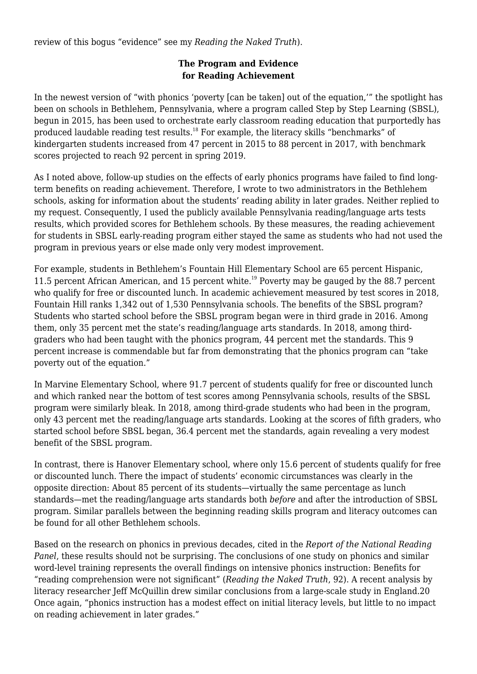review of this bogus "evidence" see my *Reading the Naked Truth*).

## **The Program and Evidence for Reading Achievement**

In the newest version of "with phonics 'poverty [can be taken] out of the equation,'" the spotlight has been on schools in Bethlehem, Pennsylvania, where a program called Step by Step Learning (SBSL), begun in 2015, has been used to orchestrate early classroom reading education that purportedly has produced laudable reading test results.<sup>18</sup> For example, the literacy skills "benchmarks" of kindergarten students increased from 47 percent in 2015 to 88 percent in 2017, with benchmark scores projected to reach 92 percent in spring 2019.

As I noted above, follow-up studies on the effects of early phonics programs have failed to find longterm benefits on reading achievement. Therefore, I wrote to two administrators in the Bethlehem schools, asking for information about the students' reading ability in later grades. Neither replied to my request. Consequently, I used the publicly available Pennsylvania reading/language arts tests results, which provided scores for Bethlehem schools. By these measures, the reading achievement for students in SBSL early-reading program either stayed the same as students who had not used the program in previous years or else made only very modest improvement.

For example, students in Bethlehem's Fountain Hill Elementary School are 65 percent Hispanic, 11.5 percent African American, and 15 percent white.<sup>19</sup> Poverty may be gauged by the 88.7 percent who qualify for free or discounted lunch. In academic achievement measured by test scores in 2018, Fountain Hill ranks 1,342 out of 1,530 Pennsylvania schools. The benefits of the SBSL program? Students who started school before the SBSL program began were in third grade in 2016. Among them, only 35 percent met the state's reading/language arts standards. In 2018, among thirdgraders who had been taught with the phonics program, 44 percent met the standards. This 9 percent increase is commendable but far from demonstrating that the phonics program can "take poverty out of the equation."

In Marvine Elementary School, where 91.7 percent of students qualify for free or discounted lunch and which ranked near the bottom of test scores among Pennsylvania schools, results of the SBSL program were similarly bleak. In 2018, among third-grade students who had been in the program, only 43 percent met the reading/language arts standards. Looking at the scores of fifth graders, who started school before SBSL began, 36.4 percent met the standards, again revealing a very modest benefit of the SBSL program.

In contrast, there is Hanover Elementary school, where only 15.6 percent of students qualify for free or discounted lunch. There the impact of students' economic circumstances was clearly in the opposite direction: About 85 percent of its students—virtually the same percentage as lunch standards—met the reading/language arts standards both *before* and after the introduction of SBSL program. Similar parallels between the beginning reading skills program and literacy outcomes can be found for all other Bethlehem schools.

Based on the research on phonics in previous decades, cited in the *Report of the National Reading Panel*, these results should not be surprising. The conclusions of one study on phonics and similar word-level training represents the overall findings on intensive phonics instruction: Benefits for "reading comprehension were not significant" (*Reading the Naked Truth*, 92). A recent analysis by literacy researcher Jeff McQuillin drew similar conclusions from a large-scale study in England.20 Once again, "phonics instruction has a modest effect on initial literacy levels, but little to no impact on reading achievement in later grades."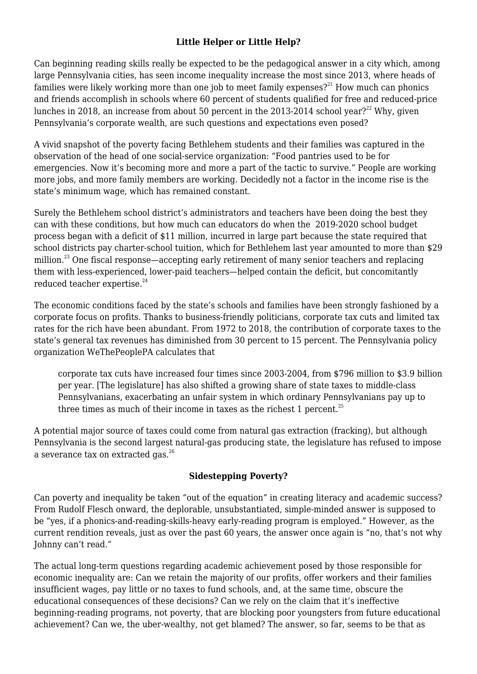# **Little Helper or Little Help?**

Can beginning reading skills really be expected to be the pedagogical answer in a city which, among large Pennsylvania cities, has seen income inequality increase the most since 2013, where heads of families were likely working more than one job to meet family expenses?<sup>21</sup> How much can phonics and friends accomplish in schools where 60 percent of students qualified for free and reduced-price lunches in 2018, an increase from about 50 percent in the 2013-2014 school year?<sup>22</sup> Why, given Pennsylvania's corporate wealth, are such questions and expectations even posed?

A vivid snapshot of the poverty facing Bethlehem students and their families was captured in the observation of the head of one social-service organization: "Food pantries used to be for emergencies. Now it's becoming more and more a part of the tactic to survive." People are working more jobs, and more family members are working. Decidedly not a factor in the income rise is the state's minimum wage, which has remained constant.

Surely the Bethlehem school district's administrators and teachers have been doing the best they can with these conditions, but how much can educators do when the 2019-2020 school budget process began with a deficit of \$11 million, incurred in large part because the state required that school districts pay charter-school tuition, which for Bethlehem last year amounted to more than \$29 million.<sup>23</sup> One fiscal response—accepting early retirement of many senior teachers and replacing them with less-experienced, lower-paid teachers—helped contain the deficit, but concomitantly reduced teacher expertise.<sup>24</sup>

The economic conditions faced by the state's schools and families have been strongly fashioned by a corporate focus on profits. Thanks to business-friendly politicians, corporate tax cuts and limited tax rates for the rich have been abundant. From 1972 to 2018, the contribution of corporate taxes to the state's general tax revenues has diminished from 30 percent to 15 percent. The Pennsylvania policy organization WeThePeoplePA calculates that

corporate tax cuts have increased four times since 2003-2004, from \$796 million to \$3.9 billion per year. [The legislature] has also shifted a growing share of state taxes to middle-class Pennsylvanians, exacerbating an unfair system in which ordinary Pennsylvanians pay up to three times as much of their income in taxes as the richest 1 percent.<sup>25</sup>

A potential major source of taxes could come from natural gas extraction (fracking), but although Pennsylvania is the second largest natural-gas producing state, the legislature has refused to impose a severance tax on extracted gas.<sup>26</sup>

# **Sidestepping Poverty?**

Can poverty and inequality be taken "out of the equation" in creating literacy and academic success? From Rudolf Flesch onward, the deplorable, unsubstantiated, simple-minded answer is supposed to be "yes, if a phonics-and-reading-skills-heavy early-reading program is employed." However, as the current rendition reveals, just as over the past 60 years, the answer once again is "no, that's not why Johnny can't read."

The actual long-term questions regarding academic achievement posed by those responsible for economic inequality are: Can we retain the majority of our profits, offer workers and their families insufficient wages, pay little or no taxes to fund schools, and, at the same time, obscure the educational consequences of these decisions? Can we rely on the claim that it's ineffective beginning-reading programs, not poverty, that are blocking poor youngsters from future educational achievement? Can we, the uber-wealthy, not get blamed? The answer, so far, seems to be that as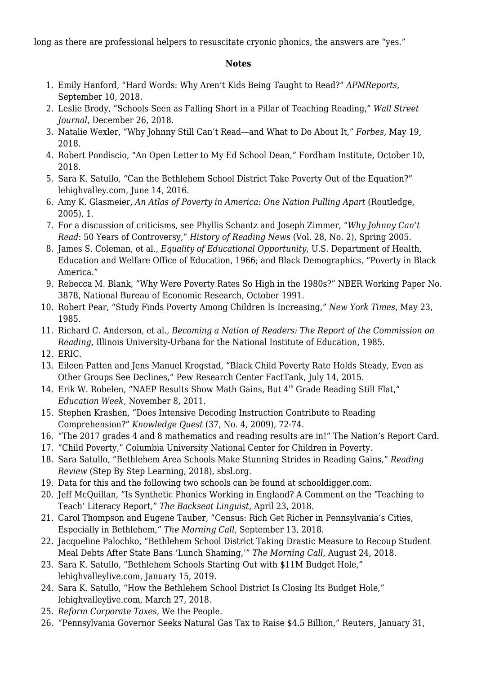long as there are professional helpers to resuscitate cryonic phonics, the answers are "yes."

## **Notes**

- 1. Emily Hanford, "Hard Words: Why Aren't Kids Being Taught to Read?" *[APMReports](http://www.apmreports.org/story/2018/09/10/hard-words-why-american-kids-arent-being-taught-to-read)*, September 10, 2018.
- 2. Leslie Brody, "Schools Seen as Falling Short in a Pillar of Teaching Reading," *[Wall Street](http://www.wsj.com/articles/schools-seen-as-falling-short-in-a-pillar-of-teaching-reading-11545832800) [Journal](http://www.wsj.com/articles/schools-seen-as-falling-short-in-a-pillar-of-teaching-reading-11545832800)*, December 26, 2018.
- 3. Natalie Wexler, "Why Johnny Still Can't Read—and What to Do About It," *[Forbes](http://www.forbes.com/sites/nataliewexler/2018/05/19/why-johnny-still-cant-read-and-what-to-do-about-it/#993788c2e221)*, May 19, 2018.
- 4. Robert Pondiscio, "An Open Letter to My Ed School Dean," [Fordham Institute,](https://newpol.org/fordhaminstitute.org/national/commentary/open-letter-my-ed-school-dean) October 10, 2018.
- 5. Sara K. Satullo, "Can the Bethlehem School District Take Poverty Out of the Equation?" [lehighvalley.com](http://www.lehighvalleylive.com/bethlehem/2016/06/can_the_bethlehem_school_distr.html), June 14, 2016.
- 6. Amy K. Glasmeier, *An Atlas of Poverty in America: One Nation Pulling Apart* (Routledge, 2005), 1.
- 7. For a discussion of criticisms, see Phyllis Schantz and Joseph Zimmer, "*Why Johnny Can't Read*: 50 Years of Controversy," *History of Reading News* (Vol. 28, No. 2), Spring 2005.
- 8. James S. Coleman, et al., *Equality of Educational Opportunity*, U.S. Department of Health, Education and Welfare Office of Education, 1966; and Black Demographics, ["Poverty in Black](https://newpol.org/blackdemographics.com/households/poverty/) [America](https://newpol.org/blackdemographics.com/households/poverty/)."
- 9. Rebecca M. Blank, "Why Were Poverty Rates So High in the 1980s?" NBER Working Paper No. 3878, National Bureau of Economic Research, October 1991.
- 10. Robert Pear, "Study Finds Poverty Among Children Is Increasing," *New York Times*, May 23, 1985.
- 11. Richard C. Anderson, et al., *Becoming a Nation of Readers: The Report of the Commission on Reading*, Illinois University-Urbana for the National Institute of Education, 1985.
- 12. [ERIC.](https://newpol.org/eric.ed.gov/?id=ED313497)
- 13. Eileen Patten and Jens Manuel Krogstad, "Black Child Poverty Rate Holds Steady, Even as Other Groups See Declines," [Pew Research Center FactTank,](http://www.pewresearch.org/fact-tank/2015/07/14/black-child-poverty-rate-holds-steady-even-as-other-groups-see-declines/) July 14, 2015.
- 14. Erik W. Robelen, "NAEP Results Show Math Gains, But  $4<sup>th</sup>$  Grade Reading Still Flat," *[Education Week](http://www.edweek.org/ew/articles/2011/11/09/11naep-2.h31.html),* November 8, 2011.
- 15. Stephen Krashen, "Does Intensive Decoding Instruction Contribute to Reading Comprehension?" *Knowledge Quest* (37, No. 4, 2009), 72-74.
- 16. "The 2017 grades 4 and 8 mathematics and reading results are in!" [The Nation's Report Card](http://www.nationsreportcard.gov/reading_math_2017_highlights/?utm_content=buffer99776&utm_medium=social&utm_source=twitter.com&utm_campaign=buffer).
- 17. "Child Poverty," Columbia University [National Center for Children in Poverty](http://www.nccp.org/topics/childpoverty.html).
- 18. Sara Satullo, "Bethlehem Area Schools Make Stunning Strides in Reading Gains," *Reading Review* (Step By Step Learning, 2018), sbsl.org.
- 19. Data for this and the following two schools can be found at schooldigger.com.
- 20. Jeff McQuillan, "Is Synthetic Phonics Working in England? A Comment on the 'Teaching to Teach' Literacy Report," *[The Backseat Linguist](https://newpol.org/backseatlinguist.com/blog/is-synthetic-phonics-instruction-working-in-england-updated/)*, April 23, 2018.
- 21. Carol Thompson and Eugene Tauber, "Census: Rich Get Richer in Pennsylvania's Cities, Especially in Bethlehem," *[The Morning Call](http://www.mcall.com/news/pennsylvania/mc-nws-acs-census-report-20180912-story.html)*, September 13, 2018.
- 22. Jacqueline Palochko, "Bethlehem School District Taking Drastic Measure to Recoup Student Meal Debts After State Bans 'Lunch Shaming,'" *[The Morning Call](http://www.mcall.com/news/education/mc-nws-bethlehem-school-district-unpaid-lunches-20180814-story.html)*, August 24, 2018.
- 23. Sara K. Satullo, "Bethlehem Schools Starting Out with \$11M Budget Hole," [lehighvalleylive.com,](http://www.lehighvalleylive.com/bethlehem/2019/01/bethlehem-schools-starting-out-with-11m-budget-hole.html) January 15, 2019.
- 24. Sara K. Satullo, "How the Bethlehem School District Is Closing Its Budget Hole," [lehighvalleylive.com,](http://www.lehighvalleylive.com/bethlehem/2018/03/how_the_bethlehem_school_distr.html) March 27, 2018.
- 25. *Reform Corporate Taxes*, [We the People](https://newpol.org/drive.google.com/file/d/1ClDoNnJU-MJ779k0Es43RnFI3EkDpMFA/view).
- 26. "Pennsylvania Governor Seeks Natural Gas Tax to Raise \$4.5 Billion," [Reuters,](http://www.reuters.com/article/us-usa-pennsylvania-natgas-tax/pennsylvania-governor-seeks-natural-gas-tax-to-raise-4-5-billion-idUSKCN1PP2UR) January 31,